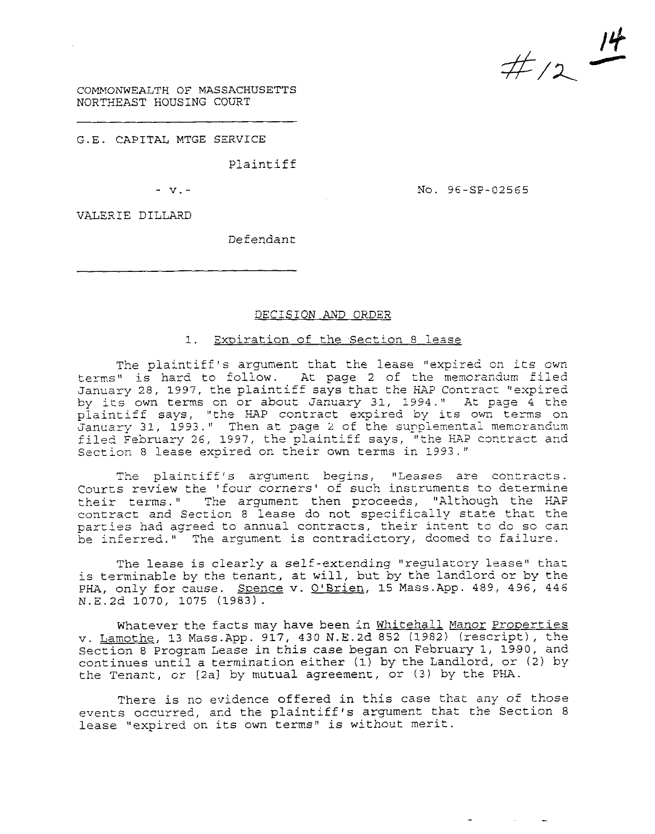*/4*   $#$  /2  $+$ 

COMMONWEALTH OF MASSACHUSETTS NORTHEAST HOUSING COURT

G.E. CAPITAL MTGE SERVICE

Plaintiff

- **v.-** 

NO. 96-SP-02565

and the state of the

VALEXIE DILLARD

Defendant

### DECISION AND ORDER

# 1. Expiration of the Section 8 lease

The plaintiff's argument that the lease "expired on its own terms" is hard to follow. At page 2 of the memorandum filed January 28, 1997, the plaintiff says that the HAP Contract "expired by its own terms on or about January 31, 1994." At page 4 the plaintiff says, "the HAP contract expired by its own terms on January 31, 1993." Then at page *2* of the supplemental memorandum filed February 26, 1997, the plaintiff says, "the HA? contract and Section 8 lease expired on their own terms in 1993."

The plaintiff *'s* argument begins, "Leases are contraccs. Courts review the 'four corners' of such instruments to determine<br>their terms." The argument then proceeds, "Although the HAP The argument then proceeds, "Although the HAP contract and Section 8 lease do not specifically state that the parties had agreed to annual contracts, their intent to do so can be inferred." The argument is contradictory, doomed to failure.

The lease is clearly a self-extending "regulatory lease" that is terminable by the tenant, at will, but by the landlord or by the PHA, only for cause. Spence v. O'Brien, 15 Mass.App. 489, 496, 446 N.E.2d 1070, 1075 (1983).

Whatever the facts may have been in Whitehall Manor Properties v. Lamothe, 13 Mass.App. 917, *430* N.E.2d 852 (1982) (rescript), the Section 8 Program Lease in this case began on February 1, 1990, and continues until a termination either (1) by the Landlord, or *(2)* by the Tenant, or [2al by mutual agreement, or *(3)* by the PHA.

There is no evidence offered in this case that any *of* those events occurred, and the plaintiff's argument that the Section 8 lease "expired on its own terms" is without merit.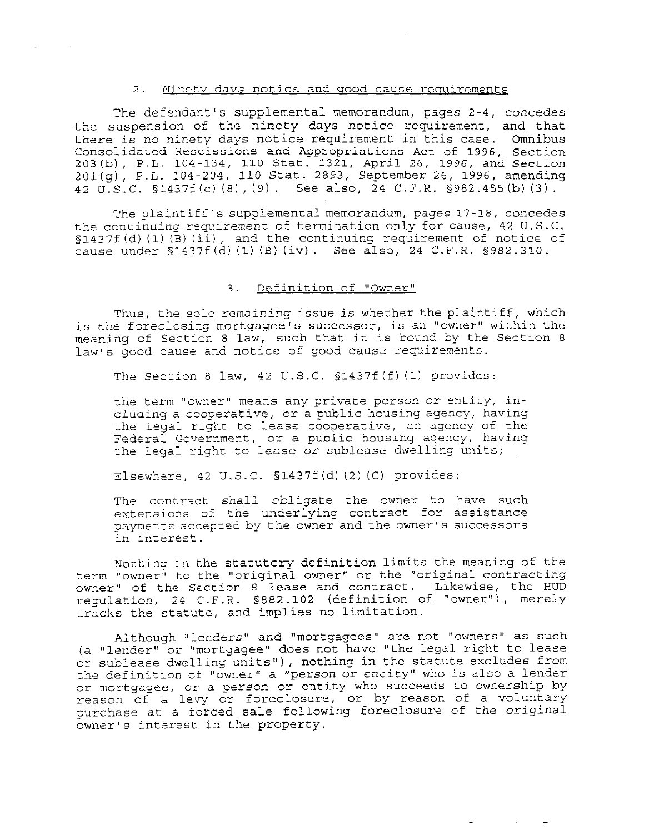#### *2.* Ninetv *davs* notice and uood cause requirements

The defendant's supplemental memorandum, pages 2-4, concedes the suspension of the ninety days notice requirement, and that there is no ninety days notice requirement in this case. Omnibus Consolidated Rescissions and Appropriations Act of 1996, Section 203(b), P.L. 104-134, 110 Stat. 1321, April 26, 1996, and Section 201(g), P.L. 104-204, 110 Stat. 2893, September 26, 1996, amending 42 U.S.C. S1437f (c) (8), (9). See also, 24 C.F.R. §982.455(b) **(3).** 

The plaintiff's supplemental memorandum, pages 17-18, concedes the continuing requirement of termination only for cause, 42 U.S.C. S1437f(d)(1)(B)(ii), and the continuing requirement of notice of cause under §1<37f(d) (1) **(B)** (iv). See also, 24 C.F.R. *§982.310.* 

## 3. Definition of "Owner"

Thus, the sole remaining issue is whether the plaintiff, which *is* the foreclosing mortgagee's successor, is an "owner" within the meaning of Section 8 law, such that it is bound by the Section 8 law's good cause and notice of *good* cause requirements.

The Section 8 law, 42 U.S.C. S1437f (f) (1) provides:

the term "owner" means any private person or entity, including a cooperative, or a public housing agency, having the legal right to lease cooperative, an agency of the Federai Gcvernment, or a public housing agency, having the legal righc to lease or sublease dwelling units;

Elsewhere, 42 U.S.C. S1437f (d) *(2)* (C) provides:

The contract shall obligate the owner to have such extensions *of* the underlying contract for assistance payments accepted by the owner and the owner's successors in interest.

Nothing in the stacutcry definition limits the meaning of the term "owner" to the "original owner" or the "original contracting owner" of the Section 8 lease and contract. Likewise, the HUD regulation, 24 C.F.R. S882.102 (definition of "owner"), merely tracks the statute, and implies no limitation.

Although "lenders" and "mortgagees" are not "owners" as such (a "lender" or "mortgagee" does not have "the legal right to lease or sublease dwelling units"), nothing in the statute excludes from the definition of "owner" a "person or entity" who is also a lender or mortgagee, or a person or entity who succeeds to ownership by reason of a levy or foreclosure, or by reason of a voluntary purchase at a forced sale following foreclosure *of* the original owner's interest in the property.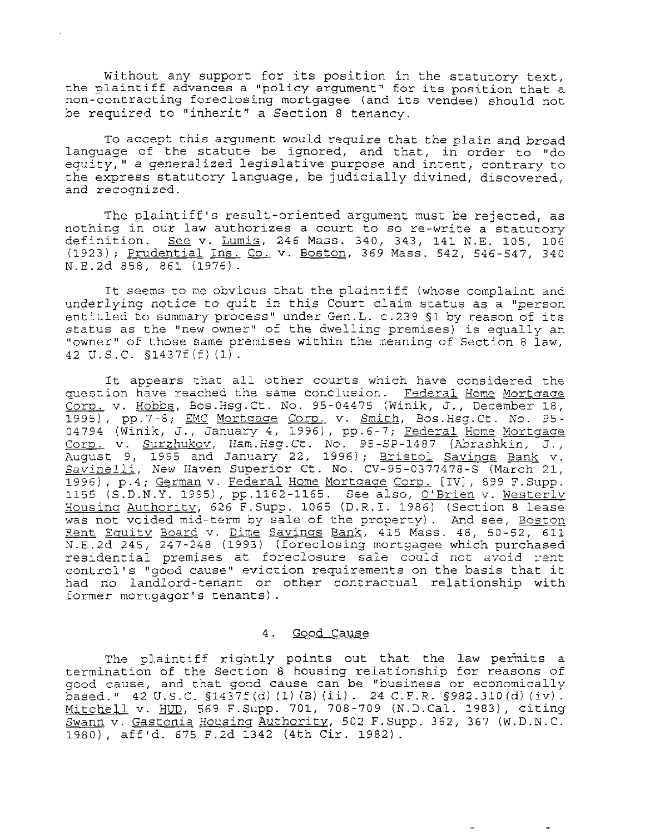Without any support for its position in the statutory text, the plaintiff advances a "policy argument" for its position that a non-contracting foreclosing mortgagee (and its vendee) should not be required to "inherit" a Section 8 tenancy.

To accept this argument would require that the plain and broad language of the statute be ignored, and that, in order to "do equity," a generalized legislative purpose and intent, contrary to the express statutory language, be judicially divined, discovered, and recognized.

The plaintiff's result-oriented argument must be rejected, as nothing in our law authorizes a court to so re-write a statutory definition. *See* v. Lumis, 246 Mass. 340, 343, 141 N.E. 105, 106 (1923); Prudential Ins. Co. **v.** Boston, 369 Mass. 542, 546-547, 340 N.E.2d 858, 861 (1976).

It seems to me obvious that the plaintiff (whose complaint and underlying notice to quit in this Court claim status as a "person entitled to summary process" under Gen.L. c.239 51 by reason of its status as the "new owner" of the dwelling premises) is equally an "owner" of those same premises within the meaning of Section 8 law, 42 U.S.C. §1437f(f) (1).

It appears that all other courts which have considered the question have reached the same conclusion. Federal Home Mortgage Corp. **v.** Hobbs, Bos.Hsg.Ct. No. 95-04475 (Winik, J., December 18, 1995), pp.7-8; EMC Mortgage Corp. v. Smith, Bos.Hsg.Ct. No. 95-04794 (Winik, J., January 4, 1996), pp.6-7; Federal Home Mortgage CorD. v. Surzhukov, Ham.Hsg.Ct. No. 95-SP-1487 (Abrashkin, J., August 9, 1995 and January 22, 1996); Bristol Savings Bank v. Savinelli, New Haven Superior Ct. No. CV-95-0377478-5 (March **21,**  1996), p.4; German v. Federal Home Mortgage Corp. [IV], 899 F.Supp. 1155 (S.D.N.Y. 1995), pp.1162-1165. See also, <u>O'Brien</u> v. <u>Westerly</u> Housinc: Authority, 626 F.Supp. **1065** (D.R.I. 1986) (Section 8 lease was not voided mid-term by sale of the property). And see, Boston Rent Eauitv Board v. Dime Savinss Bank, 415 Mass. 48, 50-52, **611**  N.E.2d 245, 247-248 (1993) (foreclosing mortgagee which purchased residential premises at foreclosure sale could not avoid rent control's "good cause" eviction requirements on the basis that it had no landlord-tenant or other contractual relationship with former mortgagor's tenants).

## 4. Good Cause

The plaintiff rightly points out that the law permits a termination of the Section 8 housing relationship for reasons of good cause, and that good cause can be "business or economically based." 42 U.S.C. §1437f(d)(1)(B)(ii). 24 C.F.R. §982.310(d)(iv).<br><u>Mitchell</u> v. <u>HUD</u>, 569 F.Supp. 701, 708-709 (N.D.Cal. 1983), citing Swann **v.** Gastonia *Housina* Authoritv, 502 F.Supp. 362, 367 (W.D.N.C. 1980), aff'd. 675 F.2d 1342 (4th Cir. 1982).